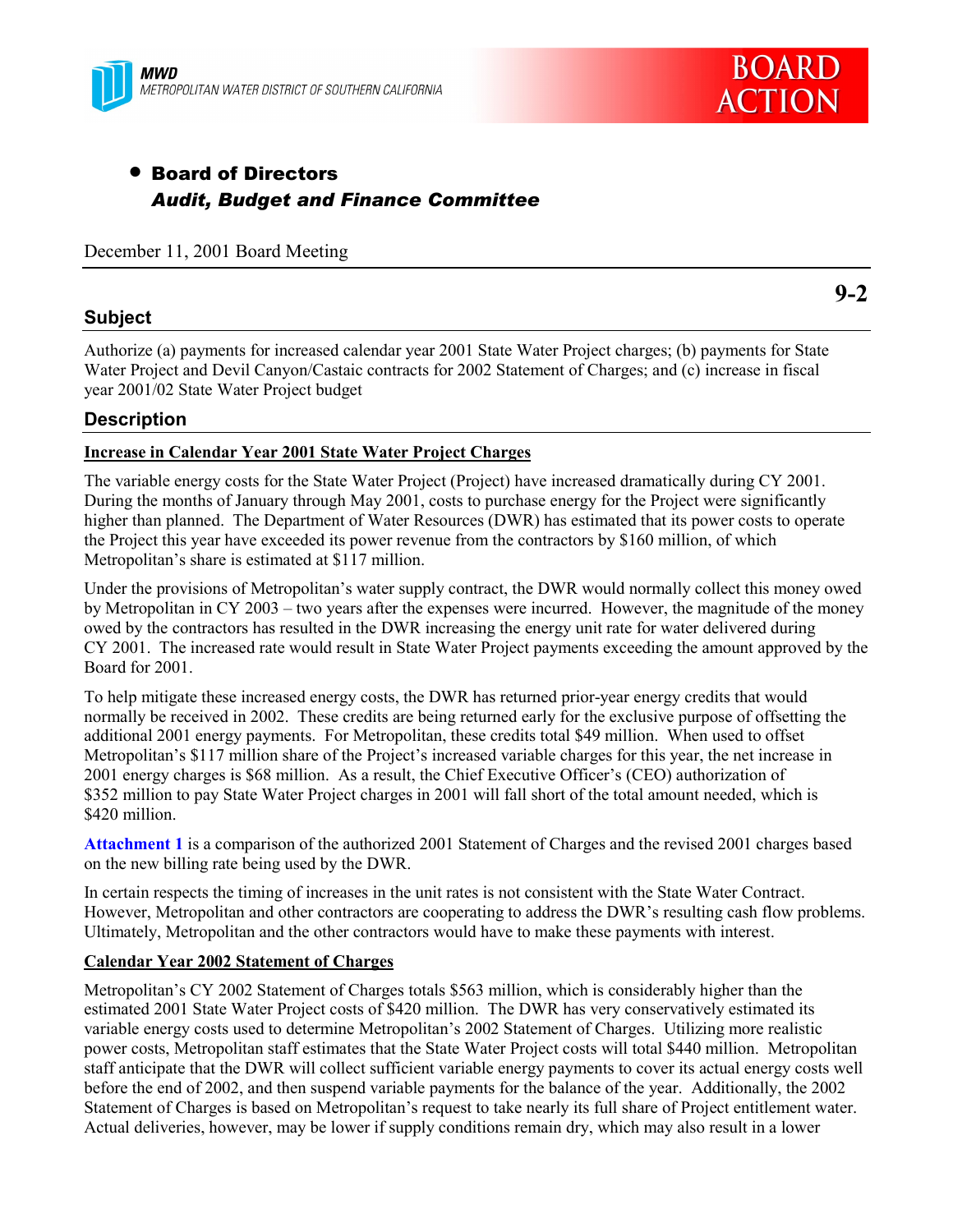



# • Board of Directors *Audit, Budget and Finance Committee*

December 11, 2001 Board Meeting

### **Subject**

Authorize (a) payments for increased calendar year 2001 State Water Project charges; (b) payments for State Water Project and Devil Canyon/Castaic contracts for 2002 Statement of Charges; and (c) increase in fiscal year 2001/02 State Water Project budget

### **Description**

#### **Increase in Calendar Year 2001 State Water Project Charges**

The variable energy costs for the State Water Project (Project) have increased dramatically during CY 2001. During the months of January through May 2001, costs to purchase energy for the Project were significantly higher than planned. The Department of Water Resources (DWR) has estimated that its power costs to operate the Project this year have exceeded its power revenue from the contractors by \$160 million, of which Metropolitan's share is estimated at \$117 million.

Under the provisions of Metropolitan's water supply contract, the DWR would normally collect this money owed by Metropolitan in CY 2003 – two years after the expenses were incurred. However, the magnitude of the money owed by the contractors has resulted in the DWR increasing the energy unit rate for water delivered during CY 2001. The increased rate would result in State Water Project payments exceeding the amount approved by the Board for 2001.

To help mitigate these increased energy costs, the DWR has returned prior-year energy credits that would normally be received in 2002. These credits are being returned early for the exclusive purpose of offsetting the additional 2001 energy payments. For Metropolitan, these credits total \$49 million. When used to offset Metropolitan's \$117 million share of the Project's increased variable charges for this year, the net increase in 2001 energy charges is \$68 million. As a result, the Chief Executive Officer's (CEO) authorization of \$352 million to pay State Water Project charges in 2001 will fall short of the total amount needed, which is \$420 million.

**Attachment 1** is a comparison of the authorized 2001 Statement of Charges and the revised 2001 charges based on the new billing rate being used by the DWR.

In certain respects the timing of increases in the unit rates is not consistent with the State Water Contract. However, Metropolitan and other contractors are cooperating to address the DWR's resulting cash flow problems. Ultimately, Metropolitan and the other contractors would have to make these payments with interest.

#### **Calendar Year 2002 Statement of Charges**

Metropolitanís CY 2002 Statement of Charges totals \$563 million, which is considerably higher than the estimated 2001 State Water Project costs of \$420 million. The DWR has very conservatively estimated its variable energy costs used to determine Metropolitanís 2002 Statement of Charges. Utilizing more realistic power costs, Metropolitan staff estimates that the State Water Project costs will total \$440 million. Metropolitan staff anticipate that the DWR will collect sufficient variable energy payments to cover its actual energy costs well before the end of 2002, and then suspend variable payments for the balance of the year. Additionally, the 2002 Statement of Charges is based on Metropolitan's request to take nearly its full share of Project entitlement water. Actual deliveries, however, may be lower if supply conditions remain dry, which may also result in a lower

**9-2**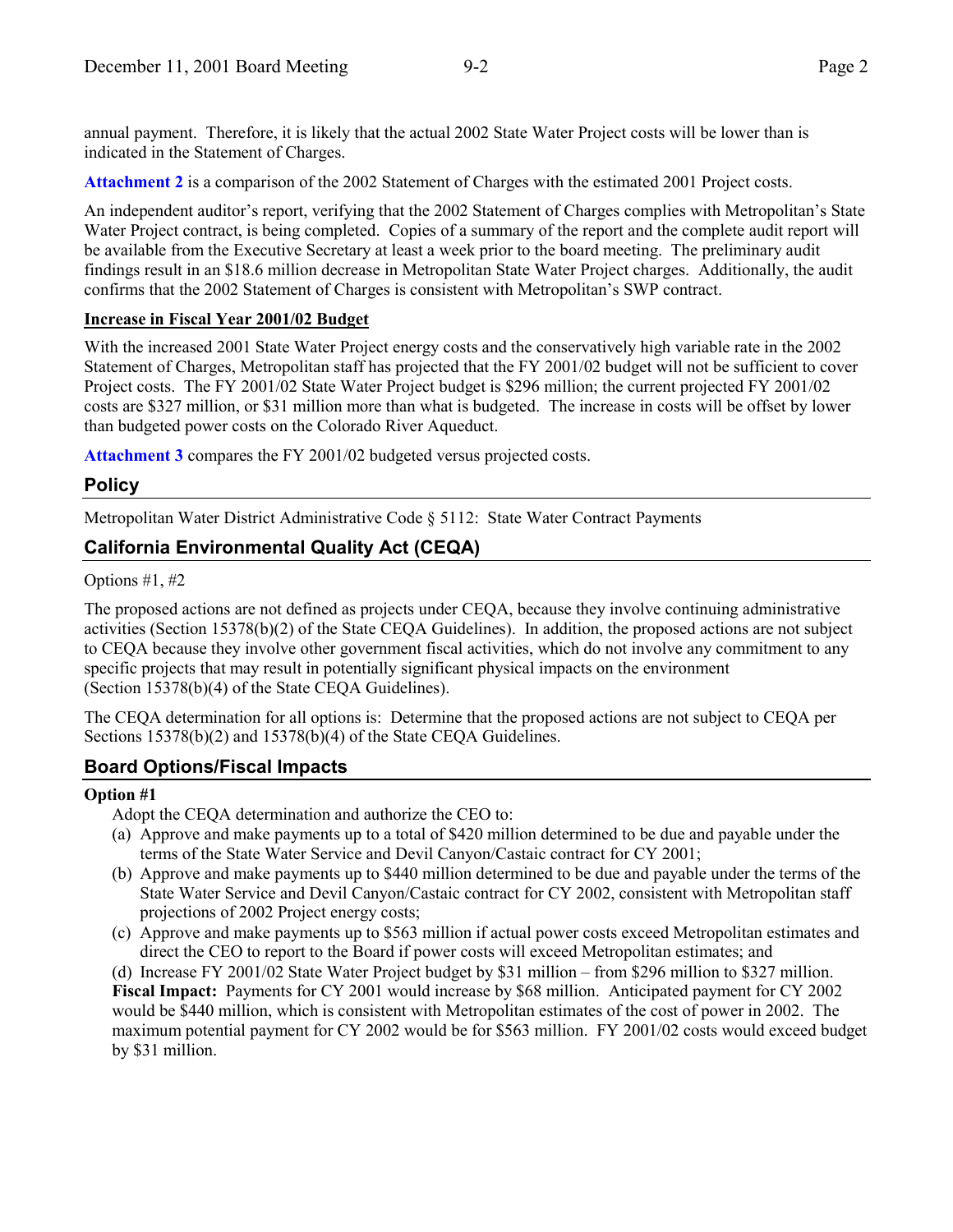annual payment. Therefore, it is likely that the actual 2002 State Water Project costs will be lower than is indicated in the Statement of Charges.

**Attachment 2** is a comparison of the 2002 Statement of Charges with the estimated 2001 Project costs.

An independent auditor's report, verifying that the 2002 Statement of Charges complies with Metropolitan's State Water Project contract, is being completed. Copies of a summary of the report and the complete audit report will be available from the Executive Secretary at least a week prior to the board meeting. The preliminary audit findings result in an \$18.6 million decrease in Metropolitan State Water Project charges. Additionally, the audit confirms that the 2002 Statement of Charges is consistent with Metropolitan's SWP contract.

#### **Increase in Fiscal Year 2001/02 Budget**

With the increased 2001 State Water Project energy costs and the conservatively high variable rate in the 2002 Statement of Charges, Metropolitan staff has projected that the FY 2001/02 budget will not be sufficient to cover Project costs. The FY 2001/02 State Water Project budget is \$296 million; the current projected FY 2001/02 costs are \$327 million, or \$31 million more than what is budgeted. The increase in costs will be offset by lower than budgeted power costs on the Colorado River Aqueduct.

**Attachment 3** compares the FY 2001/02 budgeted versus projected costs.

# **Policy**

Metropolitan Water District Administrative Code ß 5112: State Water Contract Payments

# **California Environmental Quality Act (CEQA)**

Options #1, #2

The proposed actions are not defined as projects under CEQA, because they involve continuing administrative activities (Section 15378(b)(2) of the State CEQA Guidelines). In addition, the proposed actions are not subject to CEQA because they involve other government fiscal activities, which do not involve any commitment to any specific projects that may result in potentially significant physical impacts on the environment (Section 15378(b)(4) of the State CEQA Guidelines).

The CEQA determination for all options is: Determine that the proposed actions are not subject to CEQA per Sections 15378(b)(2) and 15378(b)(4) of the State CEQA Guidelines.

# **Board Options/Fiscal Impacts**

### **Option #1**

Adopt the CEQA determination and authorize the CEO to:

- (a) Approve and make payments up to a total of \$420 million determined to be due and payable under the terms of the State Water Service and Devil Canyon/Castaic contract for CY 2001;
- (b) Approve and make payments up to \$440 million determined to be due and payable under the terms of the State Water Service and Devil Canyon/Castaic contract for CY 2002, consistent with Metropolitan staff projections of 2002 Project energy costs;
- (c) Approve and make payments up to \$563 million if actual power costs exceed Metropolitan estimates and direct the CEO to report to the Board if power costs will exceed Metropolitan estimates; and

(d) Increase FY 2001/02 State Water Project budget by \$31 million – from \$296 million to \$327 million.

**Fiscal Impact:** Payments for CY 2001 would increase by \$68 million. Anticipated payment for CY 2002 would be \$440 million, which is consistent with Metropolitan estimates of the cost of power in 2002. The maximum potential payment for CY 2002 would be for \$563 million. FY 2001/02 costs would exceed budget by \$31 million.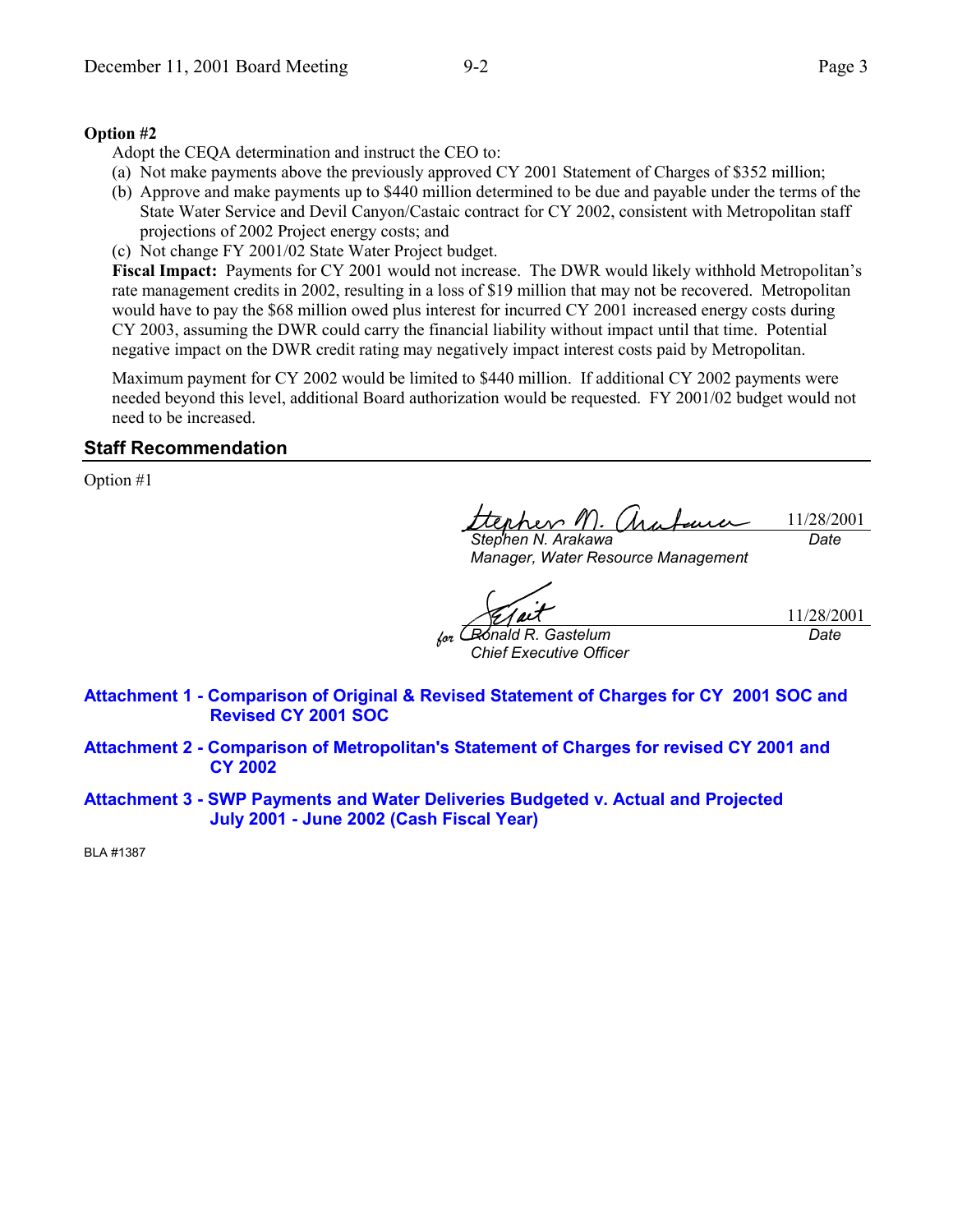#### **Option #2**

Adopt the CEQA determination and instruct the CEO to:

- (a) Not make payments above the previously approved CY 2001 Statement of Charges of \$352 million;
- (b) Approve and make payments up to \$440 million determined to be due and payable under the terms of the State Water Service and Devil Canyon/Castaic contract for CY 2002, consistent with Metropolitan staff projections of 2002 Project energy costs; and
- (c) Not change FY 2001/02 State Water Project budget.

**Fiscal Impact:** Payments for CY 2001 would not increase. The DWR would likely withhold Metropolitan's rate management credits in 2002, resulting in a loss of \$19 million that may not be recovered. Metropolitan would have to pay the \$68 million owed plus interest for incurred CY 2001 increased energy costs during CY 2003, assuming the DWR could carry the financial liability without impact until that time. Potential negative impact on the DWR credit rating may negatively impact interest costs paid by Metropolitan.

Maximum payment for CY 2002 would be limited to \$440 million. If additional CY 2002 payments were needed beyond this level, additional Board authorization would be requested. FY 2001/02 budget would not need to be increased.

#### **Staff Recommendation**

Option #1

her 1 11/28/2001 *Date*

*Stephen N. Arakawa Manager, Water Resource Management*

*for Ronald R. Gastelum*

11/28/2001

*Date*

*Chief Executive Officer*

**Attachment 1 - Comparison of Original & Revised Statement of Charges for CY 2001 SOC and Revised CY 2001 SOC**

- **Attachment 2 Comparison of Metropolitan's Statement of Charges for revised CY 2001 and CY 2002**
- **Attachment 3 SWP Payments and Water Deliveries Budgeted v. Actual and Projected July 2001 - June 2002 (Cash Fiscal Year)**

BLA #1387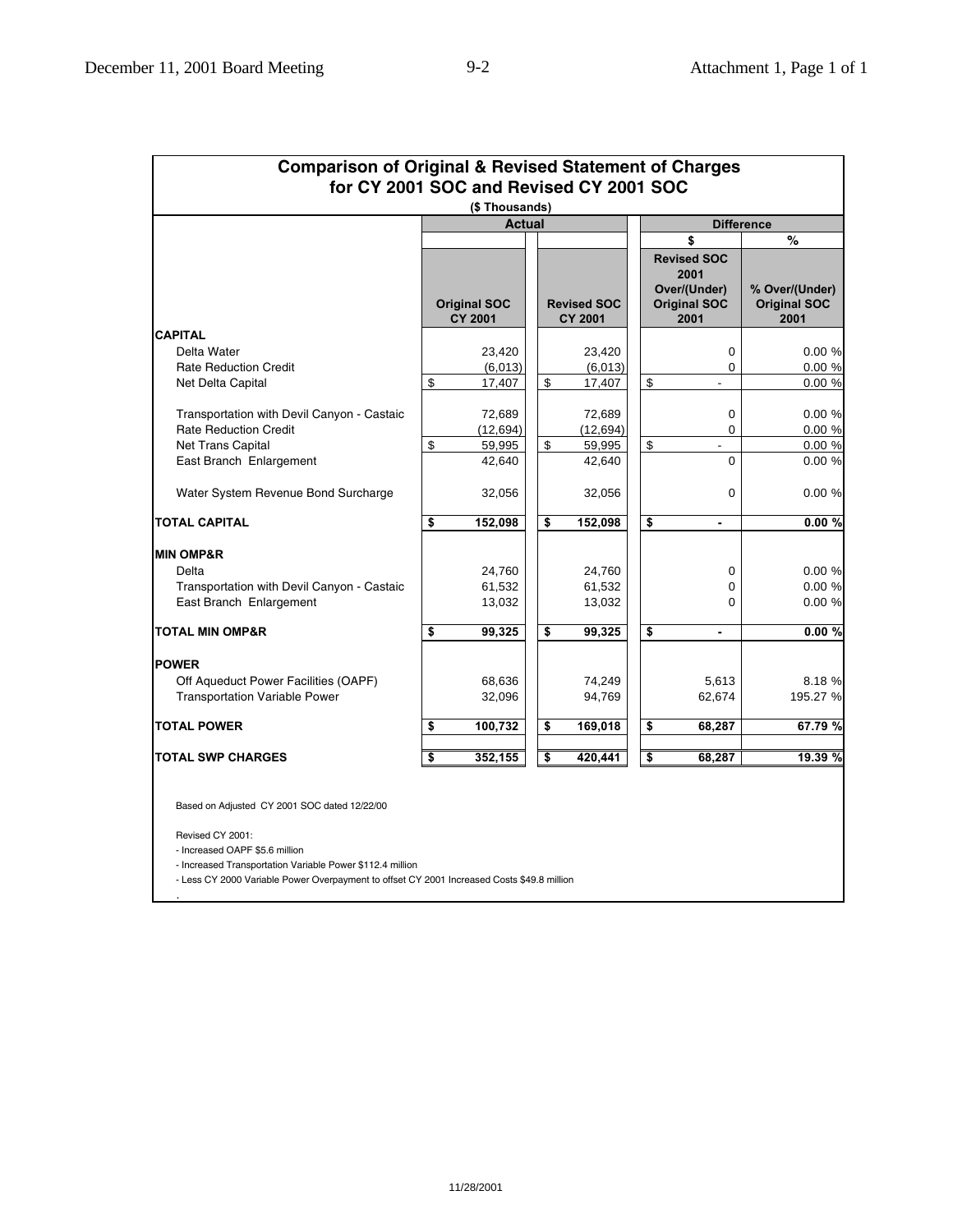| <b>Comparison of Original &amp; Revised Statement of Charges</b><br>for CY 2001 SOC and Revised CY 2001 SOC |               |                                       |    |                                      |    |                                                                           |                                               |  |
|-------------------------------------------------------------------------------------------------------------|---------------|---------------------------------------|----|--------------------------------------|----|---------------------------------------------------------------------------|-----------------------------------------------|--|
|                                                                                                             |               | (\$Thousands)                         |    |                                      |    |                                                                           |                                               |  |
|                                                                                                             | <b>Actual</b> |                                       |    | <b>Difference</b><br>$\%$<br>\$      |    |                                                                           |                                               |  |
|                                                                                                             |               | <b>Original SOC</b><br><b>CY 2001</b> |    | <b>Revised SOC</b><br><b>CY 2001</b> |    | <b>Revised SOC</b><br>2001<br>Over/(Under)<br><b>Original SOC</b><br>2001 | % Over/(Under)<br><b>Original SOC</b><br>2001 |  |
| <b>CAPITAL</b>                                                                                              |               |                                       |    |                                      |    |                                                                           |                                               |  |
| Delta Water                                                                                                 |               | 23,420                                |    | 23,420                               |    | 0                                                                         | 0.00%                                         |  |
| <b>Rate Reduction Credit</b>                                                                                |               | (6,013)                               |    | (6,013)                              |    | 0                                                                         | 0.00 %                                        |  |
| Net Delta Capital                                                                                           | \$            | 17,407                                | \$ | 17,407                               | \$ |                                                                           | 0.00%                                         |  |
| Transportation with Devil Canyon - Castaic                                                                  |               | 72,689                                |    | 72,689                               |    | 0                                                                         | 0.00%                                         |  |
| <b>Rate Reduction Credit</b>                                                                                |               | (12, 694)                             |    | (12,694)                             |    | 0                                                                         | 0.00 %                                        |  |
| Net Trans Capital                                                                                           | \$            | 59,995                                | \$ | 59,995                               | \$ | $\overline{\phantom{0}}$                                                  | 0.00 %                                        |  |
| East Branch Enlargement                                                                                     |               | 42,640                                |    | 42,640                               |    | $\Omega$                                                                  | 0.00%                                         |  |
| Water System Revenue Bond Surcharge                                                                         |               | 32,056                                |    | 32,056                               |    | $\Omega$                                                                  | 0.00%                                         |  |
| <b>TOTAL CAPITAL</b>                                                                                        | \$            | 152,098                               | \$ | 152,098                              | \$ | $\blacksquare$                                                            | 0.00%                                         |  |
| <b>MIN OMP&amp;R</b>                                                                                        |               |                                       |    |                                      |    |                                                                           |                                               |  |
| Delta                                                                                                       |               | 24,760                                |    | 24,760                               |    | 0                                                                         | 0.00 %                                        |  |
| Transportation with Devil Canyon - Castaic                                                                  |               | 61,532                                |    | 61,532                               |    | 0                                                                         | 0.00%                                         |  |
| East Branch Enlargement                                                                                     |               | 13,032                                |    | 13,032                               |    | 0                                                                         | 0.00%                                         |  |
| <b>TOTAL MIN OMP&amp;R</b>                                                                                  | \$            | 99,325                                | \$ | 99,325                               | \$ | $\blacksquare$                                                            | 0.00%                                         |  |
| <b>POWER</b>                                                                                                |               |                                       |    |                                      |    |                                                                           |                                               |  |
| Off Aqueduct Power Facilities (OAPF)                                                                        |               | 68,636                                |    | 74,249                               |    | 5,613                                                                     | 8.18 %                                        |  |
| <b>Transportation Variable Power</b>                                                                        |               | 32,096                                |    | 94,769                               |    | 62,674                                                                    | 195.27 %                                      |  |
| <b>TOTAL POWER</b>                                                                                          | \$            | 100,732                               | \$ | 169,018                              | \$ | 68,287                                                                    | 67.79 %                                       |  |
| <b>TOTAL SWP CHARGES</b>                                                                                    | \$            | 352,155                               | \$ | 420,441                              | \$ | 68.287                                                                    | 19.39 %                                       |  |

Based on Adjusted CY 2001 SOC dated 12/22/00

Revised CY 2001:

.

- Increased OAPF \$5.6 million

- Increased Transportation Variable Power \$112.4 million

- Less CY 2000 Variable Power Overpayment to offset CY 2001 Increased Costs \$49.8 million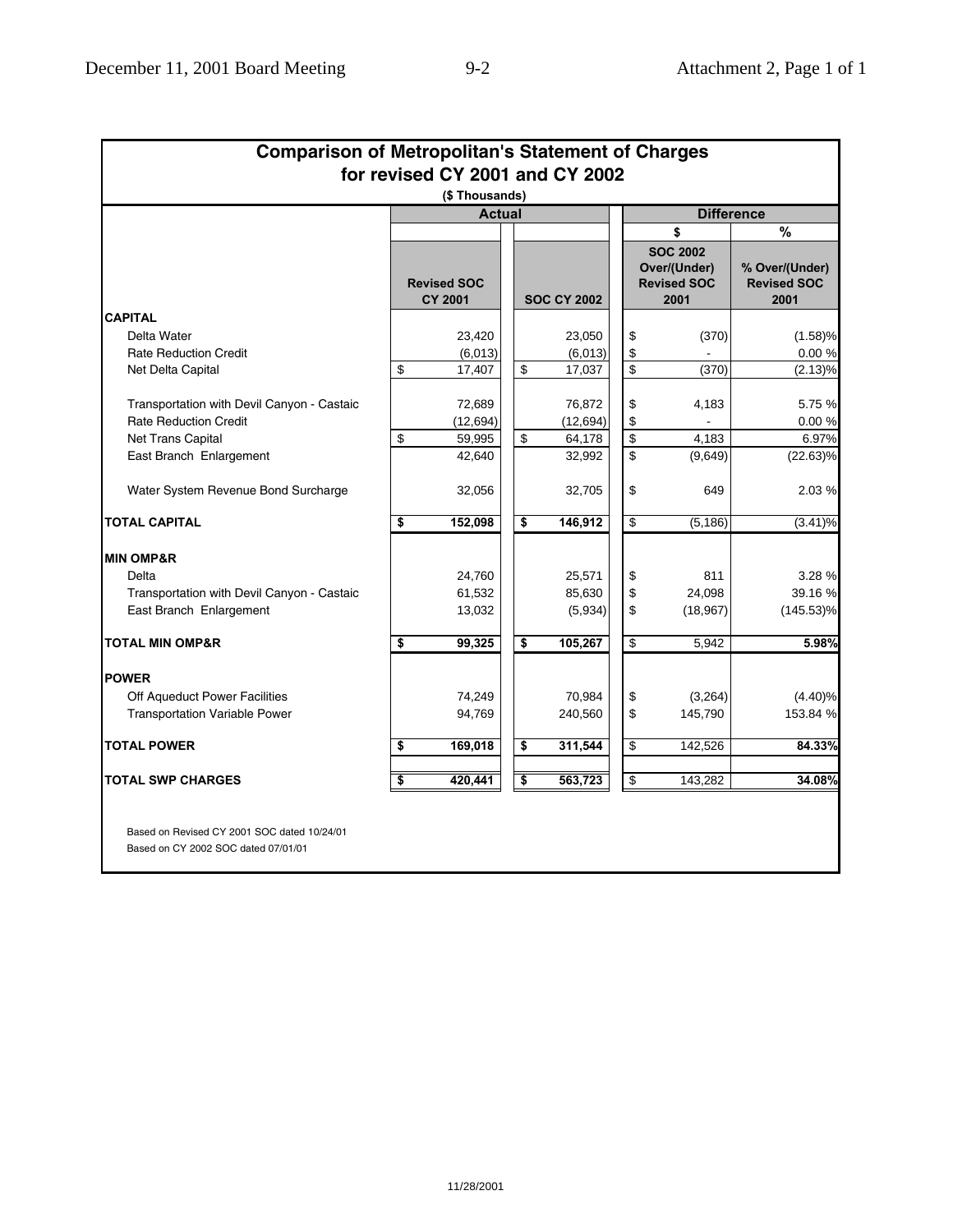| <b>Comparison of Metropolitan's Statement of Charges</b>                           |    |                                      |  |    |                    |                   |                                                               |                                              |
|------------------------------------------------------------------------------------|----|--------------------------------------|--|----|--------------------|-------------------|---------------------------------------------------------------|----------------------------------------------|
| for revised CY 2001 and CY 2002                                                    |    |                                      |  |    |                    |                   |                                                               |                                              |
| (\$Thousands)                                                                      |    |                                      |  |    |                    |                   |                                                               |                                              |
|                                                                                    |    | <b>Actual</b>                        |  |    |                    | <b>Difference</b> |                                                               |                                              |
|                                                                                    |    |                                      |  |    |                    |                   | \$                                                            | %                                            |
|                                                                                    |    | <b>Revised SOC</b><br><b>CY 2001</b> |  |    | <b>SOC CY 2002</b> |                   | <b>SOC 2002</b><br>Over/(Under)<br><b>Revised SOC</b><br>2001 | % Over/(Under)<br><b>Revised SOC</b><br>2001 |
| <b>CAPITAL</b>                                                                     |    |                                      |  |    |                    |                   |                                                               |                                              |
| Delta Water                                                                        |    | 23,420                               |  |    | 23,050             | \$                | (370)                                                         | (1.58)%                                      |
| <b>Rate Reduction Credit</b>                                                       |    | (6,013)                              |  |    | (6,013)            | \$                |                                                               | 0.00 %                                       |
| Net Delta Capital                                                                  | \$ | 17,407                               |  | \$ | 17,037             | \$                | (370)                                                         | (2.13)%                                      |
| Transportation with Devil Canyon - Castaic                                         |    | 72,689                               |  |    | 76,872             | \$                | 4,183                                                         | 5.75 %                                       |
| <b>Rate Reduction Credit</b>                                                       |    | (12, 694)                            |  |    | (12, 694)          | \$                |                                                               | 0.00%                                        |
| <b>Net Trans Capital</b>                                                           | \$ | 59,995                               |  | \$ | 64,178             | \$                | 4.183                                                         | 6.97%                                        |
| East Branch Enlargement                                                            |    | 42,640                               |  |    | 32,992             | \$                | (9,649)                                                       | $(22.63)\%$                                  |
| Water System Revenue Bond Surcharge                                                |    | 32,056                               |  |    | 32,705             | \$                | 649                                                           | 2.03 %                                       |
| <b>TOTAL CAPITAL</b>                                                               | \$ | 152,098                              |  | \$ | 146,912            | \$                | (5, 186)                                                      | (3.41)%                                      |
| <b>MIN OMP&amp;R</b>                                                               |    |                                      |  |    |                    |                   |                                                               |                                              |
| Delta                                                                              |    | 24,760                               |  |    | 25,571             | \$                | 811                                                           | 3.28 %                                       |
| Transportation with Devil Canyon - Castaic                                         |    | 61,532                               |  |    | 85,630             | \$                | 24,098                                                        | 39.16 %                                      |
| East Branch Enlargement                                                            |    | 13,032                               |  |    | (5,934)            | \$                | (18, 967)                                                     | $(145.53)\%$                                 |
| <b>TOTAL MIN OMP&amp;R</b>                                                         | \$ | 99,325                               |  | \$ | 105,267            | \$                | 5,942                                                         | 5.98%                                        |
| <b>POWER</b>                                                                       |    |                                      |  |    |                    |                   |                                                               |                                              |
| Off Aqueduct Power Facilities                                                      |    | 74,249                               |  |    | 70,984             | \$                | (3,264)                                                       | (4.40)%                                      |
| <b>Transportation Variable Power</b>                                               |    | 94,769                               |  |    | 240,560            | \$                | 145,790                                                       | 153.84 %                                     |
| <b>TOTAL POWER</b>                                                                 | \$ | 169,018                              |  | \$ | 311,544            | \$                | 142,526                                                       | 84.33%                                       |
| <b>TOTAL SWP CHARGES</b>                                                           | \$ | 420,441                              |  | \$ | 563,723            | \$                | 143,282                                                       | 34.08%                                       |
| Based on Revised CY 2001 SOC dated 10/24/01<br>Based on CY 2002 SOC dated 07/01/01 |    |                                      |  |    |                    |                   |                                                               |                                              |